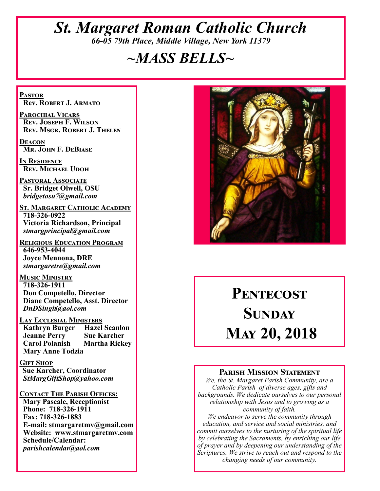## *St. Margaret Roman Catholic Church 66-05 79th Place, Middle Village, New York 11379*

# *~MASS BELLS~*

**Pastor Rev. Robert J. Armato**

**Parochial Vicars Rev. Joseph F. Wilson Rev. Msgr. Robert J. Thelen**

**Deacon Mr. John F. DeBiase** 

**In Residence Rev. Michael Udoh**

**Pastoral Associate Sr. Bridget Olwell, OSU**  *bridgetosu7@gmail.com*

**St. Margaret Catholic Academy 718-326-0922 Victoria Richardson, Principal**  *stmargprincipal@gmail.com*

**Religious Education Program 646-953-4044 Joyce Mennona, DRE** *stmargaretre@gmail.com*

**Music Ministry 718-326-1911 Don Competello, Director Diane Competello, Asst. Director** *DnDSingit@aol.com*

**LAY ECCLESIAL MINISTERS**<br>**Kathryn Burger Hazel Scanlon Kathryn Burger Jeanne Perry Sue Karcher Carol Polanish Martha Rickey Mary Anne Todzia**

**Gift Shop Sue Karcher, Coordinator** *StMargGiftShop@yahoo.com*

**Contact The Parish Offices:**

 **Mary Pascale, Receptionist Phone: 718-326-1911 Fax: 718-326-1883 E-mail: stmargaretmv@gmail.com Website: www.stmargaretmv.com Schedule/Calendar:** *parishcalendar@aol.com* 



# **Pentecost Sunday May 20, 2018**

#### **Parish Mission Statement**

*We, the St. Margaret Parish Community, are a Catholic Parish of diverse ages, gifts and backgrounds. We dedicate ourselves to our personal relationship with Jesus and to growing as a community of faith.*

*We endeavor to serve the community through education, and service and social ministries, and commit ourselves to the nurturing of the spiritual life by celebrating the Sacraments, by enriching our life of prayer and by deepening our understanding of the Scriptures. We strive to reach out and respond to the changing needs of our community.*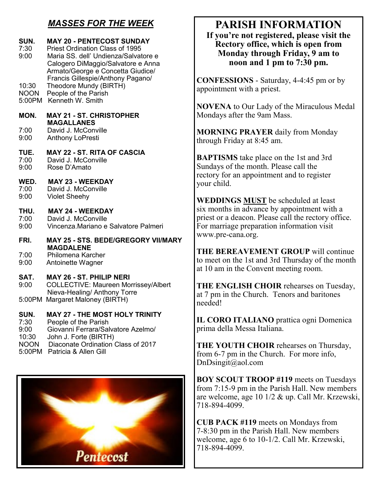## *MASSES FOR THE WEEK*

#### **SUN. MAY 20 - PENTECOST SUNDAY**<br>7:30 Priest Ordination Class of 1995 Priest Ordination Class of 1995 9:00 Maria SS. dell' Undienza/Salvatore e Calogero DiMaggio/Salvatore e Anna Armato/George e Concetta Giudice/ Francis Gillespie/Anthony Pagano/ 10:30 Theodore Mundy (BIRTH) NOON People of the Parish 5:00PM Kenneth W. Smith **MON. MAY 21 - ST. CHRISTOPHER MAGALLANES**<br>7:00 David J. McCony 7:00 David J. McConville<br>9:00 Anthony LoPresti Anthony LoPresti **TUE. MAY 22 - ST. RITA OF CASCIA**<br>7:00 David J. McConville 7:00 David J. McConville<br>9:00 Rose D'Amato Rose D'Amato **WED. MAY 23 - WEEKDAY** 7:00 David J. McConville 9:00 Violet Sheehy **THU. MAY 24 - WEEKDAY**  7:00 David J. McConville 9:00 Vincenza.Mariano e Salvatore Palmeri **FRI. MAY 25 - STS. BEDE/GREGORY VII/MARY MAGDALENE** 7:00 Philomena Karcher 9:00 Antoinette Wagner **SAT. MAY 26 - ST. PHILIP NERI**  9:00 COLLECTIVE: Maureen Morrissey/Albert Nieva-Healing/ Anthony Torre 5:00PM Margaret Maloney (BIRTH) **SUN. MAY 27 - THE MOST HOLY TRINITY**  7:30 People of the Parish 9:00 Giovanni Ferrara/Salvatore Azelmo/

10:30 John J. Forte (BIRTH)

NOON Diaconate Ordination Class of 2017

5:00PM Patricia & Allen Gill



## **PARISH INFORMATION**

**If you're not registered, please visit the Rectory office, which is open from Monday through Friday, 9 am to noon and 1 pm to 7:30 pm.**

**CONFESSIONS** - Saturday, 4-4:45 pm or by appointment with a priest.

**NOVENA** to Our Lady of the Miraculous Medal Mondays after the 9am Mass.

**MORNING PRAYER** daily from Monday through Friday at 8:45 am.

**BAPTISMS** take place on the 1st and 3rd Sundays of the month. Please call the rectory for an appointment and to register your child.

**WEDDINGS MUST** be scheduled at least six months in advance by appointment with a priest or a deacon. Please call the rectory office. For marriage preparation information visit www.pre-cana.org.

**THE BEREAVEMENT GROUP** will continue to meet on the 1st and 3rd Thursday of the month at 10 am in the Convent meeting room.

**THE ENGLISH CHOIR** rehearses on Tuesday, at 7 pm in the Church. Tenors and baritones needed!

**IL CORO ITALIANO** prattica ogni Domenica prima della Messa Italiana.

**THE YOUTH CHOIR** rehearses on Thursday, from 6-7 pm in the Church. For more info, DnDsingit@aol.com

**BOY SCOUT TROOP #119** meets on Tuesdays from 7:15-9 pm in the Parish Hall. New members are welcome, age 10 1/2 & up. Call Mr. Krzewski, 718-894-4099.

**CUB PACK #119** meets on Mondays from 7-8:30 pm in the Parish Hall. New members welcome, age 6 to 10-1/2. Call Mr. Krzewski, 718-894-4099.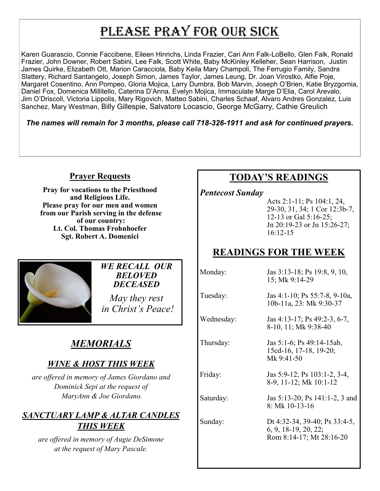# PLEASE PRAY FOR OUR SICK

Karen Guarascio, Connie Faccibene, Eileen Hinrichs, Linda Frazier, Cari Ann Falk-LoBello, Glen Falk, Ronald Frazier, John Downer, Robert Sabini, Lee Falk, Scott White, Baby McKinley Kelleher, Sean Harrison, Justin James Quirke, Elizabeth Ott, Marion Caracciola, Baby Keila Mary Champoli, The Ferrugio Family, Sandra Slattery, Richard Santangelo, Joseph Simon, James Taylor, James Leung, Dr. Joan Virostko, Alfie Poje, Margaret Cosentino, Ann Pompeo, Gloria Mojica, Larry Dumbra, Bob Marvin, Joseph O'Brien, Katie Bryzgornia, Daniel Fox, Domenica Millitello, Caterina D'Anna, Evelyn Mojica, Immaculate Marge D'Elia, Carol Arevalo, Jim O'Driscoll, Victoria Lippolis, Mary Rigovich, Matteo Sabini, Charles Schaaf, Alvaro Andres Gonzalez, Luis Sanchez, Mary Westman, Billy Gillespie, Salvatore Locascio, George McGarry, Cathie Greulich

*The names will remain for 3 months, please call 718-326-1911 and ask for continued prayers.*

#### **Prayer Requests**

**Pray for vocations to the Priesthood and Religious Life. Please pray for our men and women from our Parish serving in the defense of our country: Lt. Col. Thomas Frohnhoefer Sgt. Robert A. Domenici** 



## *WE RECALL OUR BELOVED DECEASED*

*May they rest in Christ's Peace!*

## *MEMORIALS*

## *WINE & HOST THIS WEEK*

*are offered in memory of James Giordano and Dominick Sepi at the request of MaryAnn & Joe Giordano.*

## *SANCTUARY LAMP & ALTAR CANDLES THIS WEEK*

*are offered in memory of Augie DeSimone at the request of Mary Pascale.*

## **TODAY'S READINGS**

*Pentecost Sunday* 

Acts 2:1-11; Ps 104:1, 24, 29-30, 31, 34; 1 Cor 12:3b-7, 12-13 or Gal 5:16-25; Jn 20:19-23 or Jn 15:26-27; 16:12-15

## **READINGS FOR THE WEEK**

Monday: Jas 3:13-18; Ps 19:8, 9, 10, 15; Mk 9:14-29

Tuesday: Jas 4:1-10; Ps 55:7-8, 9-10a, 10b-11a, 23: Mk 9:30-37

15cd-16, 17-18, 19-20;

8-9, 11-12; Mk 10:1-12

Wednesday: Jas 4:13-17; Ps 49:2-3, 6-7, 8-10, 11; Mk 9:38-40

Mk 9:41-50

8: Mk 10-13-16

Thursday: Jas 5:1-6; Ps 49:14-15ab,

Friday: Jas 5:9-12; Ps 103:1-2, 3-4,

Saturday: Jas 5:13-20; Ps 141:1-2, 3 and

Sunday: Dt 4:32-34, 39-40; Ps 33:4-5, 6, 9, 18-19, 20, 22; Rom 8:14-17; Mt 28:16-20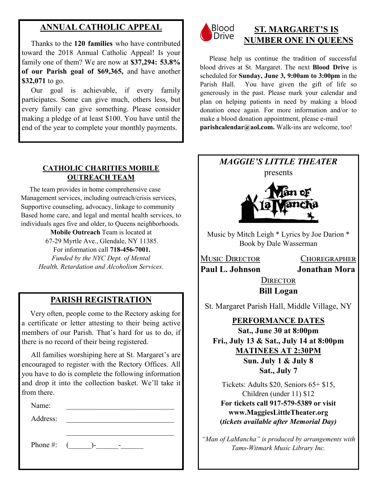## **ANNUAL CATHOLIC APPEAL**

 Thanks to the **120 families** who have contributed toward the 2018 Annual Catholic Appeal! Is your family one of them? We are now at **\$37,294: 53.8% of our Parish goal of \$69,365,** and have another **\$32,071** to go.

 Our goal is achievable, if every family participates. Some can give much, others less, but every family can give something. Please consider making a pledge of at least \$100. You have until the end of the year to complete your monthly payments.

#### **CATHOLIC CHARITIES MOBILE OUTREACH TEAM**

 The team provides in home comprehensive case Management services, including outreach/crisis services, Supportive counseling, advocacy, linkage to community Based home care, and legal and mental health services, to individuals ages five and older, to Queens neighborhoods.

> **Mobile Outreach** Team is located at 67-29 Myrtle Ave., Glendale, NY 11385.

For information call **718-456-7001.**  *Funded by the NYC Dept. of Mental Health, Retardation and Alcoholism Services.*

## **PARISH REGISTRATION**

 Very often, people come to the Rectory asking for a certificate or letter attesting to their being active members of our Parish. That's hard for us to do, if there is no record of their being registered.

 All families worshiping here at St. Margaret's are encouraged to register with the Rectory Offices. All you have to do is complete the following information and drop it into the collection basket. We'll take it from there.

Name:

Address:

Phone #: (\_\_\_\_\_\_)-\_\_\_\_\_\_-\_\_\_\_\_\_



## **ST. MARGARET'S IS NUMBER ONE IN QUEENS**

 Please help us continue the tradition of successful blood drives at St. Margaret. The next **Blood Drive** is scheduled for **Sunday, June 3, 9:00am to 3:00pm** in the Parish Hall. You have given the gift of life so generously in the past. Please mark your calendar and plan on helping patients in need by making a blood donation once again. For more information and/or to make a blood donation appointment, please e-mail **parishcalendar@aol.com.** Walk-ins are welcome, too!

## *MAGGIE'S LITTLE THEATER*





Music by Mitch Leigh \* Lyrics by Joe Darion \* Book by Dale Wasserman

Music Director Choregrapher **Paul L. Johnson Jonathan Mora**

**DIRECTOR Bill Logan**

St. Margaret Parish Hall, Middle Village, NY

**PERFORMANCE DATES Sat., June 30 at 8:00pm Fri., July 13 & Sat., July 14 at 8:00pm MATINEES AT 2:30PM Sun. July 1 & July 8 Sat., July 7**

Tickets: Adults \$20, Seniors 65+ \$15, Children (under 11) \$12 **For tickets call 917-579-5389 or visit www.MaggiesLittleTheater.org (***tickets available after Memorial Day)*

*"Man of LaMancha" is produced by arrangements with Tams-Witmark Music Library Inc.*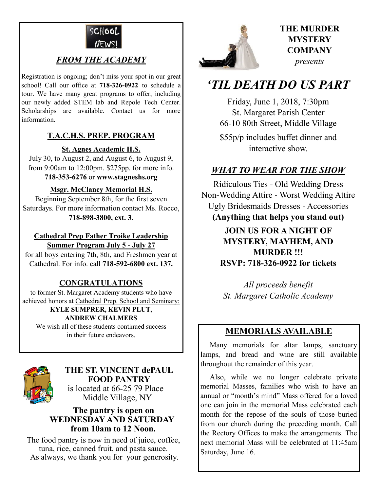

## *FROM THE ACADEMY*

Registration is ongoing; don't miss your spot in our great school! Call our office at **718-326-0922** to schedule a tour. We have many great programs to offer, including our newly added STEM lab and Repole Tech Center. Scholarships are available. Contact us for more information.

#### **T.A.C.H.S. PREP. PROGRAM**

#### **St. Agnes Academic H.S.**

July 30, to August 2, and August 6, to August 9, from 9:00am to 12:00pm. \$275pp. for more info. **718-353-6276** or **www.stagneshs.org**

#### **Msgr. McClancy Memorial H.S.**

Beginning September 8th, for the first seven Saturdays. For more information contact Ms. Rocco, **718-898-3800, ext. 3.**

#### **Cathedral Prep Father Troike Leadership Summer Program July 5 - July 27**

for all boys entering 7th, 8th, and Freshmen year at Cathedral. For info. call **718-592-6800 ext. 137.**

#### **CONGRATULATIONS**

to former St. Margaret Academy students who have achieved honors at Cathedral Prep. School and Seminary:

#### **KYLE SUMPRER, KEVIN PLUT, ANDREW CHALMERS**

We wish all of these students continued success in their future endeavors.



## **THE ST. VINCENT dePAUL FOOD PANTRY** is located at 66-25 79 Place

Middle Village, NY

#### **The pantry is open on WEDNESDAY AND SATURDAY from 10am to 12 Noon.**

The food pantry is now in need of juice, coffee, tuna, rice, canned fruit, and pasta sauce. As always, we thank you for your generosity.



## **THE MURDER MYSTERY COMPANY** *presents*

## *'TIL DEATH DO US PART*

Friday, June 1, 2018, 7:30pm St. Margaret Parish Center 66-10 80th Street, Middle Village \$55p/p includes buffet dinner and interactive show.

## *WHAT TO WEAR FOR THE SHOW*

Ridiculous Ties - Old Wedding Dress Non-Wedding Attire - Worst Wedding Attire Ugly Bridesmaids Dresses - Accessories **(Anything that helps you stand out)**

> **JOIN US FOR A NIGHT OF MYSTERY, MAYHEM, AND MURDER !!! RSVP: 718-326-0922 for tickets**

*All proceeds benefit St. Margaret Catholic Academy* 

### **MEMORIALS AVAILABLE**

Many memorials for altar lamps, sanctuary lamps, and bread and wine are still available throughout the remainder of this year.

 Also, while we no longer celebrate private memorial Masses, families who wish to have an annual or "month's mind" Mass offered for a loved one can join in the memorial Mass celebrated each month for the repose of the souls of those buried from our church during the preceding month. Call the Rectory Offices to make the arrangements. The next memorial Mass will be celebrated at 11:45am Saturday, June 16.